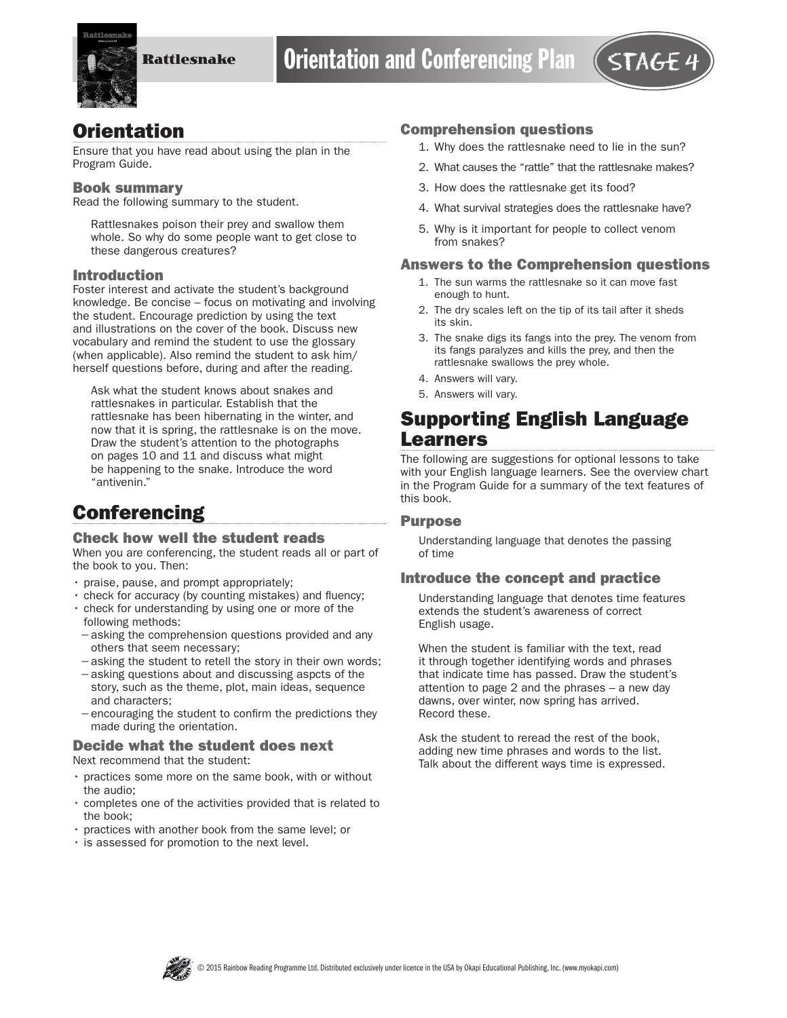

## **Orientation**

Ensure that you have read about using the plan in the Program Guide.

#### Book summary

Read the following summary to the student.

Rattlesnakes poison their prey and swallow them whole. So why do some people want to get close to these dangerous creatures?

#### Introduction

Foster interest and activate the student's background knowledge. Be concise – focus on motivating and involving the student. Encourage prediction by using the text and illustrations on the cover of the book. Discuss new vocabulary and remind the student to use the glossary (when applicable). Also remind the student to ask him/ herself questions before, during and after the reading.

Ask what the student knows about snakes and rattlesnakes in particular. Establish that the rattlesnake has been hibernating in the winter, and now that it is spring, the rattlesnake is on the move. Draw the student's attention to the photographs on pages 10 and 11 and discuss what might be happening to the snake. Introduce the word "antivenin."

# **Conferencing**

#### Check how well the student reads

When you are conferencing, the student reads all or part of the book to you. Then:

- praise, pause, and prompt appropriately;
- check for accuracy (by counting mistakes) and fluency;
- check for understanding by using one or more of the following methods:
- −asking the comprehension questions provided and any others that seem necessary;
- −asking the student to retell the story in their own words;
- −asking questions about and discussing aspcts of the story, such as the theme, plot, main ideas, sequence and characters;
- −encouraging the student to confirm the predictions they made during the orientation.

#### Decide what the student does next Next recommend that the student:

- practices some more on the same book, with or without the audio;
- completes one of the activities provided that is related to the book;
- practices with another book from the same level; or
- is assessed for promotion to the next level.

#### Comprehension questions

- 1. Why does the rattlesnake need to lie in the sun?
- 2. What causes the "rattle" that the rattlesnake makes?
- 3. How does the rattlesnake get its food?
- 4. What survival strategies does the rattlesnake have?
- 5. Why is it important for people to collect venom from snakes?

#### Answers to the Comprehension questions

- 1. The sun warms the rattlesnake so it can move fast enough to hunt.
- 2. The dry scales left on the tip of its tail after it sheds its skin.
- 3. The snake digs its fangs into the prey. The venom from its fangs paralyzes and kills the prey, and then the rattlesnake swallows the prey whole.
- 4. Answers will vary.
- 5. Answers will vary.

## Supporting English Language Learners

The following are suggestions for optional lessons to take with your English language learners. See the overview chart in the Program Guide for a summary of the text features of this book.

### Purpose

Understanding language that denotes the passing of time

### Introduce the concept and practice

Understanding language that denotes time features extends the student's awareness of correct English usage.

When the student is familiar with the text, read it through together identifying words and phrases that indicate time has passed. Draw the student's attention to page 2 and the phrases – a new day dawns, over winter, now spring has arrived. Record these.

Ask the student to reread the rest of the book, adding new time phrases and words to the list. Talk about the different ways time is expressed.

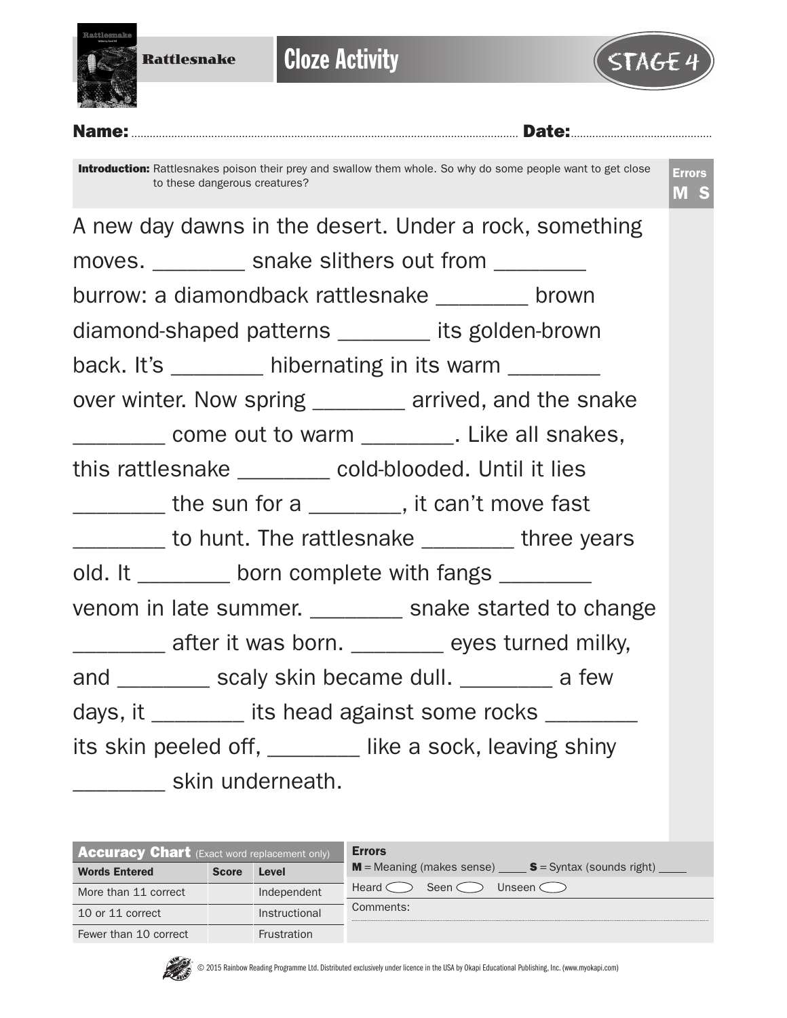

**Cloze Activity** 



Name:.............................................................................................................................. Date:..............................................

Introduction: Rattlesnakes poison their prey and swallow them whole. So why do some people want to get close to these dangerous creatures?

Errors M S



| <b>Accuracy Chart</b> (Exact word replacement only) |              |                    | <b>Errors</b>                                           |
|-----------------------------------------------------|--------------|--------------------|---------------------------------------------------------|
| <b>Words Entered</b>                                | <b>Score</b> | Level              | $M$ = Meaning (makes sense) $S$ = Syntax (sounds right) |
| More than 11 correct                                |              | Independent        | Heard $\leq$<br>Seen <<br>Unseen C                      |
| 10 or 11 correct                                    |              | Instructional      | Comments:                                               |
| Fewer than 10 correct                               |              | <b>Frustration</b> |                                                         |

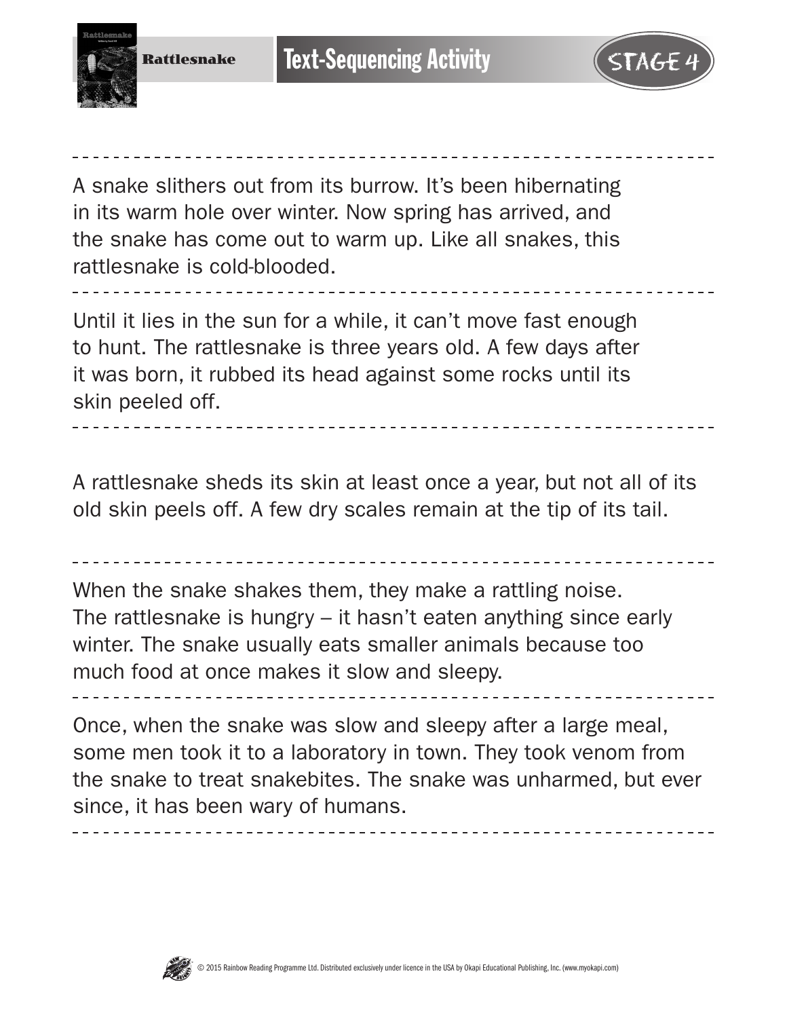



A snake slithers out from its burrow. It's been hibernating in its warm hole over winter. Now spring has arrived, and the snake has come out to warm up. Like all snakes, this rattlesnake is cold-blooded.

Until it lies in the sun for a while, it can't move fast enough to hunt. The rattlesnake is three years old. A few days after it was born, it rubbed its head against some rocks until its skin peeled off.

A rattlesnake sheds its skin at least once a year, but not all of its old skin peels off. A few dry scales remain at the tip of its tail.

When the snake shakes them, they make a rattling noise. The rattlesnake is hungry – it hasn't eaten anything since early winter. The snake usually eats smaller animals because too much food at once makes it slow and sleepy.

Once, when the snake was slow and sleepy after a large meal, some men took it to a laboratory in town. They took venom from the snake to treat snakebites. The snake was unharmed, but ever since, it has been wary of humans.

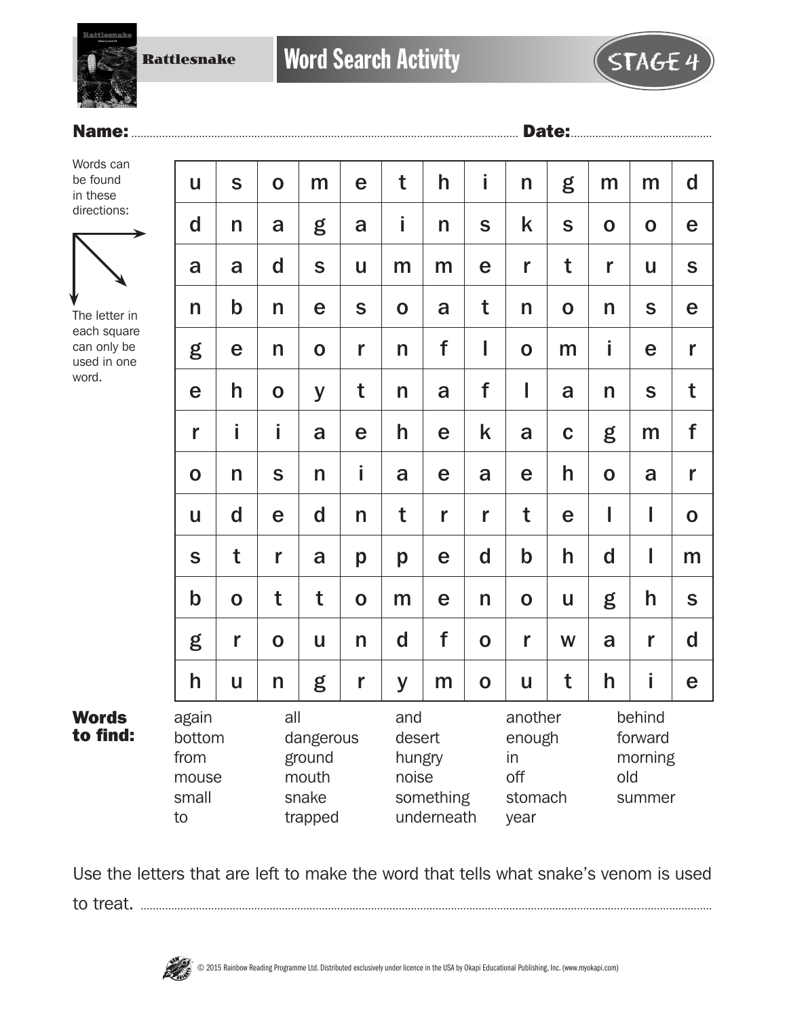Rattlesnake

## Name:.............................................................................................................................. Date:..............................................

Words can be found in these directions:



The letter in each square can only be used in one word.

Words to find:

| U                                               | S            | $\mathbf 0$ | m                                                | e           | t           | h                                                    | i           | n           | g                                                 | m           | m                                             | $\mathbf d$ |  |
|-------------------------------------------------|--------------|-------------|--------------------------------------------------|-------------|-------------|------------------------------------------------------|-------------|-------------|---------------------------------------------------|-------------|-----------------------------------------------|-------------|--|
| $\mathbf d$                                     | n            | a           | g                                                | a           | İ.          | n                                                    | S           | k           | $\mathbf S$                                       | $\mathbf O$ | $\mathbf 0$                                   | e           |  |
| a                                               | a            | $\mathbf d$ | $\mathbf S$                                      | U           | m           | m                                                    | e           | r           | t                                                 | r           | U                                             | $\mathbf S$ |  |
| n                                               | $\mathsf b$  | n           | e                                                | S           | $\mathbf 0$ | a                                                    | t           | n           | $\mathbf O$                                       | n           | $\mathbf S$                                   | e           |  |
| g                                               | e            | n           | $\mathbf O$                                      | r           | n           | f                                                    | I           | $\mathbf O$ | m                                                 | i           | е                                             | r           |  |
| e                                               | h            | $\mathbf 0$ | y                                                | t           | n           | a                                                    | f           | I           | a                                                 | n           | S                                             | t           |  |
| r                                               | i            | i           | a                                                | e           | h           | e                                                    | k           | a           | $\mathbf C$                                       | g           | m                                             | f           |  |
| $\mathbf O$                                     | n            | S           | n                                                | İ           | a           | e                                                    | a           | e           | h                                                 | $\mathbf 0$ | a                                             | r           |  |
| U                                               | $\mathbf d$  | e           | d                                                | n           | t           | r                                                    | r           | t           | e                                                 | I           | I                                             | $\mathbf O$ |  |
| S                                               | t            | r           | a                                                | p           | p           | e                                                    | d           | $\mathbf b$ | h                                                 | d           | I                                             | m           |  |
| $\mathbf b$                                     | $\mathbf O$  | t           | t                                                | $\mathbf O$ | m           | e                                                    | n           | $\mathbf 0$ | U                                                 | g           | h                                             | S           |  |
| g                                               | r            | $\mathbf 0$ | U                                                | n           | $\mathbf d$ | f                                                    | $\mathbf 0$ | r           | W                                                 | a           | r                                             | $\mathbf d$ |  |
| h                                               | $\mathbf{u}$ | n           | g                                                | r           | У           | m                                                    | $\mathbf O$ | U           | t                                                 | h           | İ                                             | e           |  |
| again<br>bottom<br>from<br>mouse<br>small<br>to |              | all         | dangerous<br>ground<br>mouth<br>snake<br>trapped |             | and         | desert<br>hungry<br>noise<br>something<br>underneath |             |             | another<br>enough<br>in<br>off<br>stomach<br>year |             | behind<br>forward<br>morning<br>old<br>summer |             |  |

Use the letters that are left to make the word that tells what snake's venom is used to treat. ..........................................................................................................................................................................................

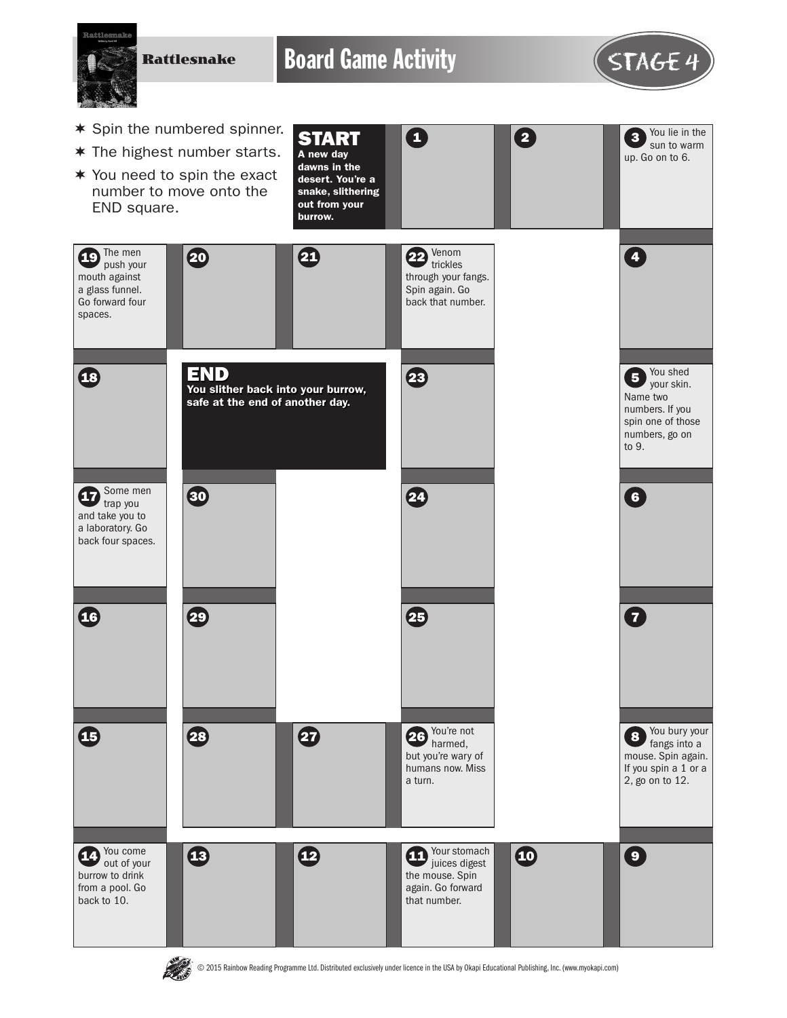

© 2015 Rainbow Reading Programme Ltd. Distributed exclusively under licence in the USA by Okapi Educational Publishing, Inc. (www.myokapi.com)